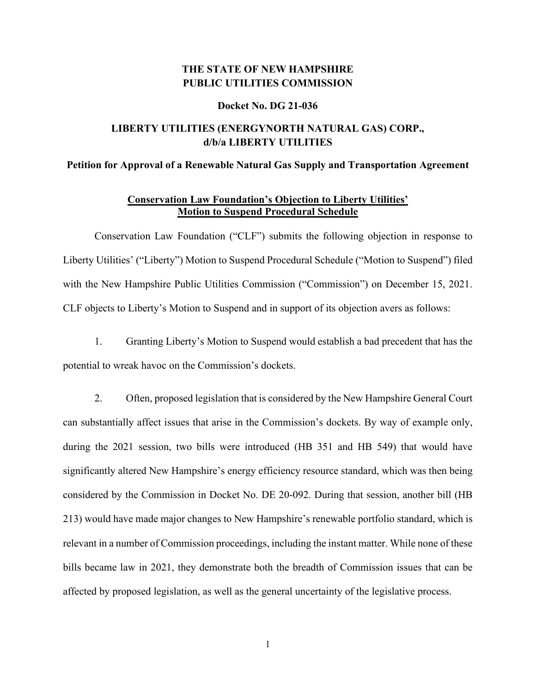# **THE STATE OF NEW HAMPSHIRE PUBLIC UTILITIES COMMISSION**

#### **Docket No. DG 21-036**

# **LIBERTY UTILITIES (ENERGYNORTH NATURAL GAS) CORP., d/b/a LIBERTY UTILITIES**

### **Petition for Approval of a Renewable Natural Gas Supply and Transportation Agreement**

### **Conservation Law Foundation's Objection to Liberty Utilities' Motion to Suspend Procedural Schedule**

Conservation Law Foundation ("CLF") submits the following objection in response to Liberty Utilities' ("Liberty") Motion to Suspend Procedural Schedule ("Motion to Suspend") filed with the New Hampshire Public Utilities Commission ("Commission") on December 15, 2021. CLF objects to Liberty's Motion to Suspend and in support of its objection avers as follows:

1. Granting Liberty's Motion to Suspend would establish a bad precedent that has the potential to wreak havoc on the Commission's dockets.

2. Often, proposed legislation that is considered by the New Hampshire General Court can substantially affect issues that arise in the Commission's dockets. By way of example only, during the 2021 session, two bills were introduced (HB 351 and HB 549) that would have significantly altered New Hampshire's energy efficiency resource standard, which was then being considered by the Commission in Docket No. DE 20-092. During that session, another bill (HB 213) would have made major changes to New Hampshire's renewable portfolio standard, which is relevant in a number of Commission proceedings, including the instant matter. While none of these bills became law in 2021, they demonstrate both the breadth of Commission issues that can be affected by proposed legislation, as well as the general uncertainty of the legislative process.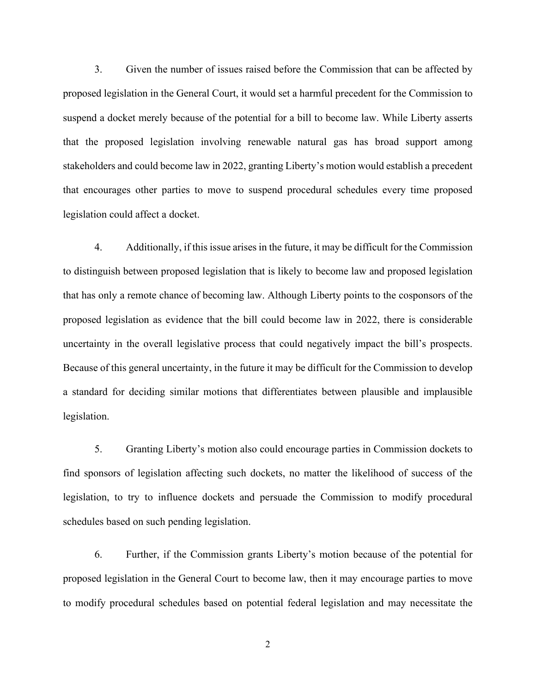3. Given the number of issues raised before the Commission that can be affected by proposed legislation in the General Court, it would set a harmful precedent for the Commission to suspend a docket merely because of the potential for a bill to become law. While Liberty asserts that the proposed legislation involving renewable natural gas has broad support among stakeholders and could become law in 2022, granting Liberty's motion would establish a precedent that encourages other parties to move to suspend procedural schedules every time proposed legislation could affect a docket.

4. Additionally, if this issue arises in the future, it may be difficult for the Commission to distinguish between proposed legislation that is likely to become law and proposed legislation that has only a remote chance of becoming law. Although Liberty points to the cosponsors of the proposed legislation as evidence that the bill could become law in 2022, there is considerable uncertainty in the overall legislative process that could negatively impact the bill's prospects. Because of this general uncertainty, in the future it may be difficult for the Commission to develop a standard for deciding similar motions that differentiates between plausible and implausible legislation.

5. Granting Liberty's motion also could encourage parties in Commission dockets to find sponsors of legislation affecting such dockets, no matter the likelihood of success of the legislation, to try to influence dockets and persuade the Commission to modify procedural schedules based on such pending legislation.

6. Further, if the Commission grants Liberty's motion because of the potential for proposed legislation in the General Court to become law, then it may encourage parties to move to modify procedural schedules based on potential federal legislation and may necessitate the

2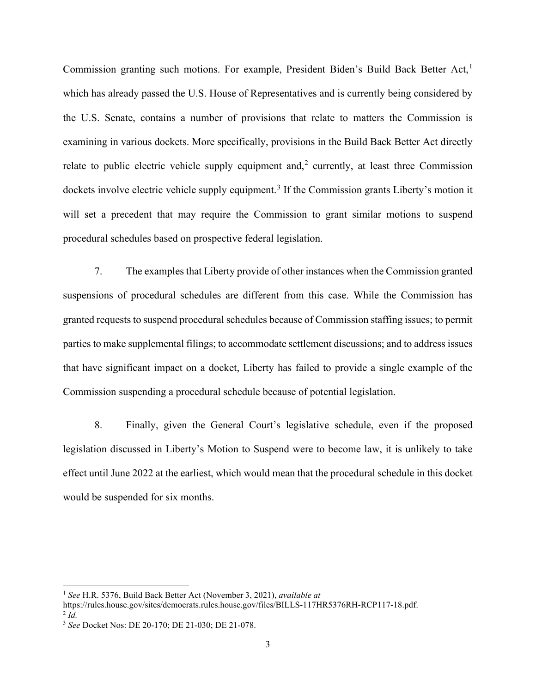Commission granting such motions. For example, President Biden's Build Back Better Act, [1](#page-2-0) which has already passed the U.S. House of Representatives and is currently being considered by the U.S. Senate, contains a number of provisions that relate to matters the Commission is examining in various dockets. More specifically, provisions in the Build Back Better Act directly relate to public electric vehicle supply equipment and,<sup>[2](#page-2-1)</sup> currently, at least three Commission dockets involve electric vehicle supply equipment.<sup>[3](#page-2-2)</sup> If the Commission grants Liberty's motion it will set a precedent that may require the Commission to grant similar motions to suspend procedural schedules based on prospective federal legislation.

7. The examples that Liberty provide of other instances when the Commission granted suspensions of procedural schedules are different from this case. While the Commission has granted requests to suspend procedural schedules because of Commission staffing issues; to permit parties to make supplemental filings; to accommodate settlement discussions; and to address issues that have significant impact on a docket, Liberty has failed to provide a single example of the Commission suspending a procedural schedule because of potential legislation.

8. Finally, given the General Court's legislative schedule, even if the proposed legislation discussed in Liberty's Motion to Suspend were to become law, it is unlikely to take effect until June 2022 at the earliest, which would mean that the procedural schedule in this docket would be suspended for six months.

<span id="page-2-0"></span><sup>1</sup> *See* H.R. 5376, Build Back Better Act (November 3, 2021), *available at* 

<span id="page-2-1"></span>https://rules.house.gov/sites/democrats.rules.house.gov/files/BILLS-117HR5376RH-RCP117-18.pdf.  $^{2}$  *Id.* 

<span id="page-2-2"></span><sup>3</sup> *See* Docket Nos: DE 20-170; DE 21-030; DE 21-078.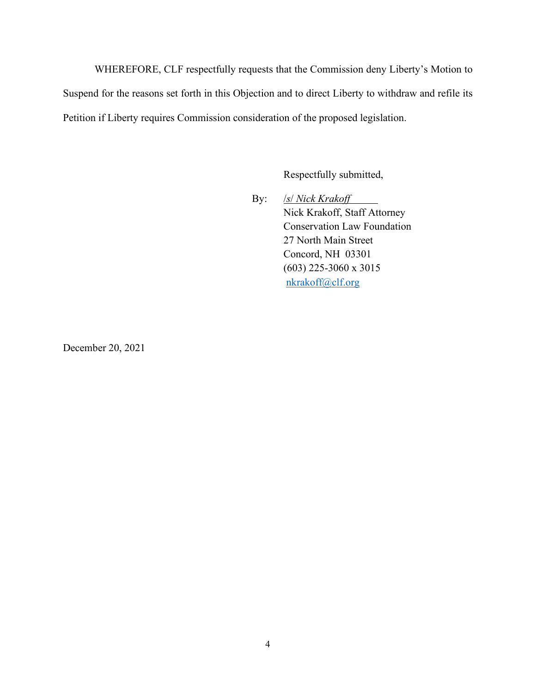WHEREFORE, CLF respectfully requests that the Commission deny Liberty's Motion to Suspend for the reasons set forth in this Objection and to direct Liberty to withdraw and refile its Petition if Liberty requires Commission consideration of the proposed legislation.

Respectfully submitted,

By: /*s*/ *Nick Krakoff* Nick Krakoff, Staff Attorney Conservation Law Foundation 27 North Main Street Concord, NH 03301 (603) 225-3060 x 3015 [nkrakoff@clf.org](mailto:nkrakoff@clf.org)

December 20, 2021